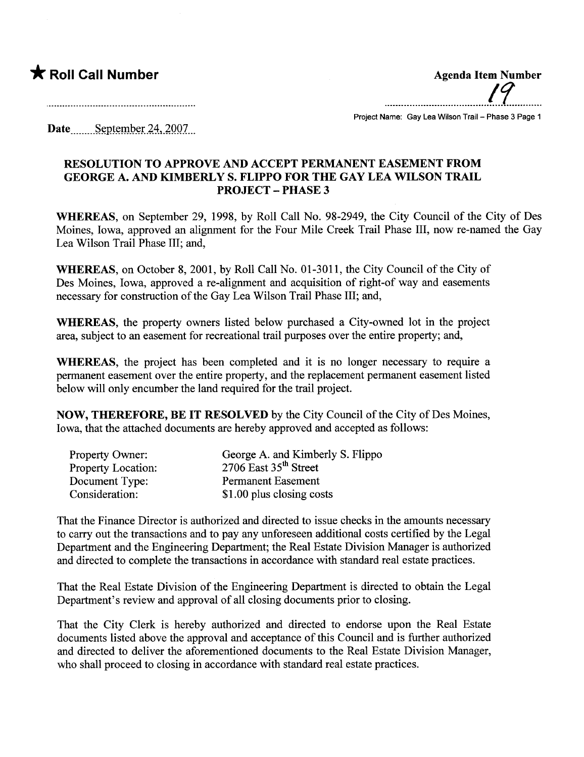## \* Roll Call Number Agenda Item Number

and the contract of the contract of the contract of the contract of the contract of the contract of the contract of

....... ...... ................ ....... ..ff...........

Project Name: Gay Lea Wilson Trail - Phase 3 Page 1

Date September 24,  $2007$ 

## RESOLUTION TO APPROVE AND ACCEPT PERMANENT EASEMENT FROM GEORGE A. AND KIMBERLY S. FLIPPO FOR THE GAY LEA WILSON TRAIL PROJECT - PHASE 3

WHEREAS, on September 29, 1998, by Roll Call No. 98-2949, the City Council of the City of Des Moines, Iowa, approved an alignment for the Four Mile Creek Trail Phase III, now re-named the Gay Lea Wilson Trail Phase III; and,

WHEREAS, on October 8, 2001, by Roll Call No. 01-3011, the City Council of the City of Des Moines, Iowa, approved a re-alignment and acquisition of right-of way and easements necessary for construction of the Gay Lea Wilson Trail Phase III; and,

WHEREAS, the property owners listed below purchased a City-owned lot in the project area, subject to an easement for recreational trail purposes over the entire property; and,

WHEREAS, the project has been completed and it is no longer necessary to require a permanent easement over the entire property, and the replacement permanent easement listed below will only encumber the land required for the trail project.

NOW, THEREFORE, BE IT RESOLVED by the City Council of the City of Des Moines, Iowa, that the attached documents are hereby approved and accepted as follows:

| Property Owner:           | George A. and Kimberly S. Flippo |
|---------------------------|----------------------------------|
| <b>Property Location:</b> | 2706 East $35th$ Street          |
| Document Type:            | <b>Permanent Easement</b>        |
| Consideration:            | \$1.00 plus closing costs        |

That the Finance Director is authorized and directed to issue checks in the amounts necessar to carry out the transactions and to pay any unforeseen additional costs certified by the Legal Deparment and the Engineering Deparment; the Real Estate Division Manager is authorized and directed to complete the transactions in accordance with standard real estate practices.

That the Real Estate Division of the Engineering Deparment is directed to obtain the Legal Department's review and approval of all closing documents prior to closing.

That the City Clerk is hereby authorized and directed to endorse upon the Real Estate documents listed above the approval and acceptance of this Council and is further authorized and directed to deliver the aforementioned documents to the Real Estate Division Manager, who shall proceed to closing in accordance with standard real estate practices.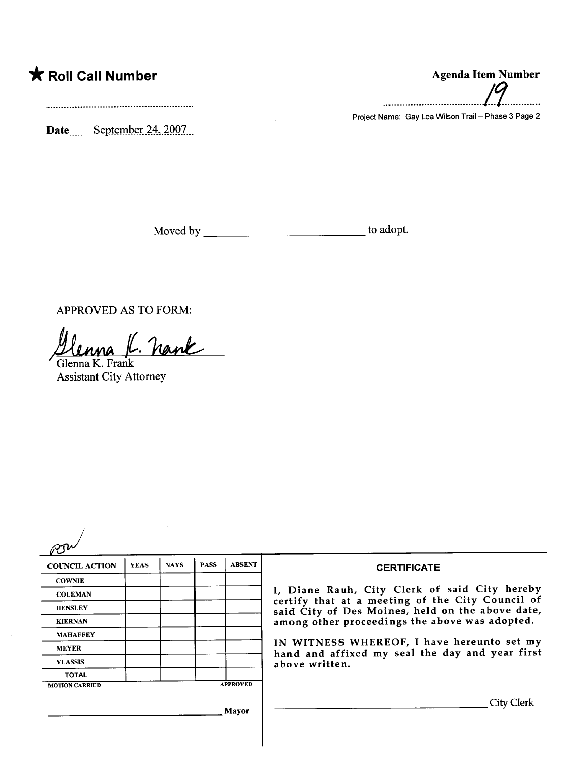## \* Roll Call Number Agenda Item Number

Date \_\_\_\_\_\_ September 24, 2007

Moved by to adopt.

APPROVED AS TO FORM:

<u>llenna J. Nank</u>

Assistant City Attorney

| <b>COUNCIL ACTION</b> | <b>YEAS</b> | <b>NAYS</b> | <b>PASS</b> | <b>ABSENT</b>   | <b>CERTIFICATE</b>                                                                                                                                                                                                                                                                                                         |
|-----------------------|-------------|-------------|-------------|-----------------|----------------------------------------------------------------------------------------------------------------------------------------------------------------------------------------------------------------------------------------------------------------------------------------------------------------------------|
| <b>COWNIE</b>         |             |             |             |                 | I, Diane Rauh, City Clerk of said City hereby<br>certify that at a meeting of the City Council of<br>said City of Des Moines, held on the above date,<br>among other proceedings the above was adopted.<br>IN WITNESS WHEREOF, I have hereunto set my<br>hand and affixed my seal the day and year first<br>above written. |
| <b>COLEMAN</b>        |             |             |             |                 |                                                                                                                                                                                                                                                                                                                            |
| <b>HENSLEY</b>        |             |             |             |                 |                                                                                                                                                                                                                                                                                                                            |
| <b>KIERNAN</b>        |             |             |             |                 |                                                                                                                                                                                                                                                                                                                            |
| <b>MAHAFFEY</b>       |             |             |             |                 |                                                                                                                                                                                                                                                                                                                            |
| <b>MEYER</b>          |             |             |             |                 |                                                                                                                                                                                                                                                                                                                            |
| <b>VLASSIS</b>        |             |             |             |                 |                                                                                                                                                                                                                                                                                                                            |
| <b>TOTAL</b>          |             |             |             |                 |                                                                                                                                                                                                                                                                                                                            |
| <b>MOTION CARRIED</b> |             |             |             | <b>APPROVED</b> |                                                                                                                                                                                                                                                                                                                            |
|                       |             |             |             | Mayor           | City Clerk                                                                                                                                                                                                                                                                                                                 |

## ..................................../9............

Project Name: Gay Lea Wilson Trail - Phase 3 Page 2